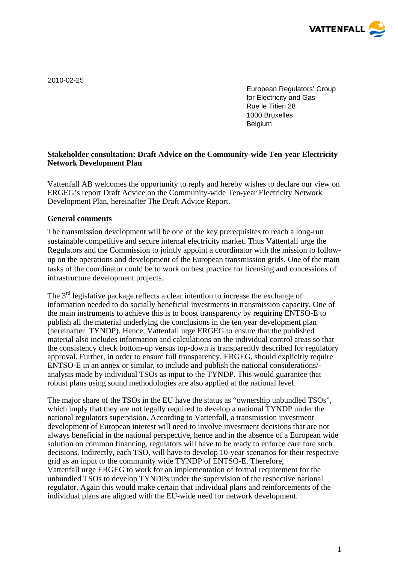

2010-02-25

European Regulators' Group for Electricity and Gas Rue le Titien 28 1000 Bruxelles Belgium

# **Stakeholder consultation: Draft Advice on the Community-wide Ten-year Electricity Network Development Plan**

Vattenfall AB welcomes the opportunity to reply and hereby wishes to declare our view on ERGEG's report Draft Advice on the Community-wide Ten-year Electricity Network Development Plan, hereinafter The Draft Advice Report.

## **General comments**

The transmission development will be one of the key prerequisites to reach a long-run sustainable competitive and secure internal electricity market. Thus Vattenfall urge the Regulators and the Commission to jointly appoint a coordinator with the mission to followup on the operations and development of the European transmission grids. One of the main tasks of the coordinator could be to work on best practice for licensing and concessions of infrastructure development projects.

The  $3<sup>rd</sup>$  legislative package reflects a clear intention to increase the exchange of information needed to do socially beneficial investments in transmission capacity. One of the main instruments to achieve this is to boost transparency by requiring ENTSO-E to publish all the material underlying the conclusions in the ten year development plan (hereinafter: TYNDP). Hence, Vattenfall urge ERGEG to ensure that the published material also includes information and calculations on the individual control areas so that the consistency check bottom-up versus top-down is transparently described for regulatory approval. Further, in order to ensure full transparency, ERGEG, should explicitly require ENTSO-E in an annex or similar, to include and publish the national considerations/ analysis made by individual TSOs as input to the TYNDP. This would guarantee that robust plans using sound methodologies are also applied at the national level.

The major share of the TSOs in the EU have the status as "ownership unbundled TSOs", which imply that they are not legally required to develop a national TYNDP under the national regulators supervision. According to Vattenfall, a transmission investment development of European interest will need to involve investment decisions that are not always beneficial in the national perspective, hence and in the absence of a European wide solution on common financing, regulators will have to be ready to enforce care fore such decisions. Indirectly, each TSO, will have to develop 10-year scenarios for their respective grid as an input to the community wide TYNDP of ENTSO-E. Therefore, Vattenfall urge ERGEG to work for an implementation of formal requirement for the unbundled TSOs to develop TYNDPs under the supervision of the respective national regulator. Again this would make certain that individual plans and reinforcements of the individual plans are aligned with the EU-wide need for network development.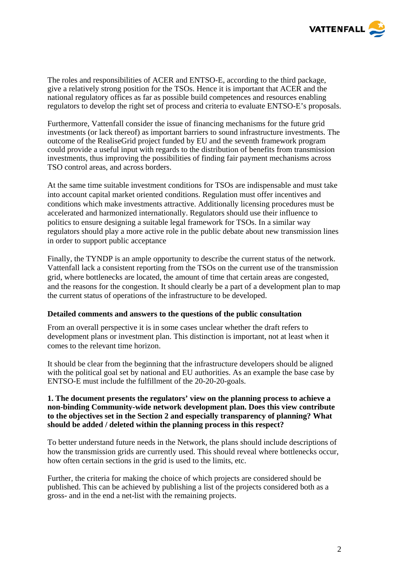

The roles and responsibilities of ACER and ENTSO-E, according to the third package, give a relatively strong position for the TSOs. Hence it is important that ACER and the national regulatory offices as far as possible build competences and resources enabling regulators to develop the right set of process and criteria to evaluate ENTSO-E's proposals.

Furthermore, Vattenfall consider the issue of financing mechanisms for the future grid investments (or lack thereof) as important barriers to sound infrastructure investments. The outcome of the RealiseGrid project funded by EU and the seventh framework program could provide a useful input with regards to the distribution of benefits from transmission investments, thus improving the possibilities of finding fair payment mechanisms across TSO control areas, and across borders.

At the same time suitable investment conditions for TSOs are indispensable and must take into account capital market oriented conditions. Regulation must offer incentives and conditions which make investments attractive. Additionally licensing procedures must be accelerated and harmonized internationally. Regulators should use their influence to politics to ensure designing a suitable legal framework for TSOs. In a similar way regulators should play a more active role in the public debate about new transmission lines in order to support public acceptance

Finally, the TYNDP is an ample opportunity to describe the current status of the network. Vattenfall lack a consistent reporting from the TSOs on the current use of the transmission grid, where bottlenecks are located, the amount of time that certain areas are congested, and the reasons for the congestion. It should clearly be a part of a development plan to map the current status of operations of the infrastructure to be developed.

### **Detailed comments and answers to the questions of the public consultation**

From an overall perspective it is in some cases unclear whether the draft refers to development plans or investment plan. This distinction is important, not at least when it comes to the relevant time horizon.

It should be clear from the beginning that the infrastructure developers should be aligned with the political goal set by national and EU authorities. As an example the base case by ENTSO-E must include the fulfillment of the 20-20-20-goals.

#### **1. The document presents the regulators' view on the planning process to achieve a non-binding Community-wide network development plan. Does this view contribute to the objectives set in the Section 2 and especially transparency of planning? What should be added / deleted within the planning process in this respect?**

To better understand future needs in the Network, the plans should include descriptions of how the transmission grids are currently used. This should reveal where bottlenecks occur, how often certain sections in the grid is used to the limits, etc.

Further, the criteria for making the choice of which projects are considered should be published. This can be achieved by publishing a list of the projects considered both as a gross- and in the end a net-list with the remaining projects.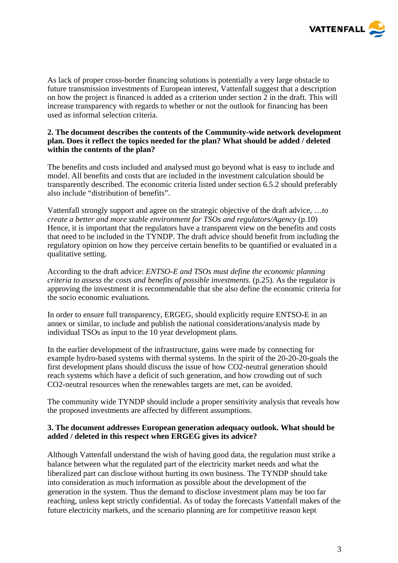

As lack of proper cross-border financing solutions is potentially a very large obstacle to future transmission investments of European interest, Vattenfall suggest that a description on how the project is financed is added as a criterion under section 2 in the draft. This will increase transparency with regards to whether or not the outlook for financing has been used as informal selection criteria.

### **2. The document describes the contents of the Community-wide network development plan. Does it reflect the topics needed for the plan? What should be added / deleted within the contents of the plan?**

The benefits and costs included and analysed must go beyond what is easy to include and model. All benefits and costs that are included in the investment calculation should be transparently described. The economic criteria listed under section 6.5.2 should preferably also include "distribution of benefits".

Vattenfall strongly support and agree on the strategic objective of the draft advice, …*to create a better and more stable environment for TSOs and regulators/Agency* (p.10) Hence, it is important that the regulators have a transparent view on the benefits and costs that need to be included in the TYNDP. The draft advice should benefit from including the regulatory opinion on how they perceive certain benefits to be quantified or evaluated in a qualitative setting.

According to the draft advice: *ENTSO-E and TSOs must define the economic planning criteria to assess the costs and benefits of possible investments.* (p.25). As the regulator is approving the investment it is recommendable that she also define the economic criteria for the socio economic evaluations*.* 

In order to ensure full transparency, ERGEG, should explicitly require ENTSO-E in an annex or similar, to include and publish the national considerations/analysis made by individual TSOs as input to the 10 year development plans.

In the earlier development of the infrastructure, gains were made by connecting for example hydro-based systems with thermal systems. In the spirit of the 20-20-20-goals the first development plans should discuss the issue of how CO2-neutral generation should reach systems which have a deficit of such generation, and how crowding out of such CO2-neutral resources when the renewables targets are met, can be avoided.

The community wide TYNDP should include a proper sensitivity analysis that reveals how the proposed investments are affected by different assumptions.

### **3. The document addresses European generation adequacy outlook. What should be added / deleted in this respect when ERGEG gives its advice?**

Although Vattenfall understand the wish of having good data, the regulation must strike a balance between what the regulated part of the electricity market needs and what the liberalized part can disclose without hurting its own business. The TYNDP should take into consideration as much information as possible about the development of the generation in the system. Thus the demand to disclose investment plans may be too far reaching, unless kept strictly confidential. As of today the forecasts Vattenfall makes of the future electricity markets, and the scenario planning are for competitive reason kept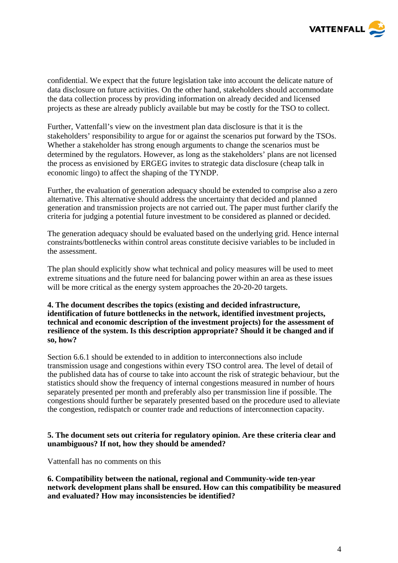

confidential. We expect that the future legislation take into account the delicate nature of data disclosure on future activities. On the other hand, stakeholders should accommodate the data collection process by providing information on already decided and licensed projects as these are already publicly available but may be costly for the TSO to collect.

Further, Vattenfall's view on the investment plan data disclosure is that it is the stakeholders' responsibility to argue for or against the scenarios put forward by the TSOs. Whether a stakeholder has strong enough arguments to change the scenarios must be determined by the regulators. However, as long as the stakeholders' plans are not licensed the process as envisioned by ERGEG invites to strategic data disclosure (cheap talk in economic lingo) to affect the shaping of the TYNDP.

Further, the evaluation of generation adequacy should be extended to comprise also a zero alternative. This alternative should address the uncertainty that decided and planned generation and transmission projects are not carried out. The paper must further clarify the criteria for judging a potential future investment to be considered as planned or decided.

The generation adequacy should be evaluated based on the underlying grid. Hence internal constraints/bottlenecks within control areas constitute decisive variables to be included in the assessment.

The plan should explicitly show what technical and policy measures will be used to meet extreme situations and the future need for balancing power within an area as these issues will be more critical as the energy system approaches the 20-20-20 targets.

### **4. The document describes the topics (existing and decided infrastructure, identification of future bottlenecks in the network, identified investment projects, technical and economic description of the investment projects) for the assessment of resilience of the system. Is this description appropriate? Should it be changed and if so, how?**

Section 6.6.1 should be extended to in addition to interconnections also include transmission usage and congestions within every TSO control area. The level of detail of the published data has of course to take into account the risk of strategic behaviour, but the statistics should show the frequency of internal congestions measured in number of hours separately presented per month and preferably also per transmission line if possible. The congestions should further be separately presented based on the procedure used to alleviate the congestion, redispatch or counter trade and reductions of interconnection capacity.

### **5. The document sets out criteria for regulatory opinion. Are these criteria clear and unambiguous? If not, how they should be amended?**

Vattenfall has no comments on this

**6. Compatibility between the national, regional and Community-wide ten-year network development plans shall be ensured. How can this compatibility be measured and evaluated? How may inconsistencies be identified?**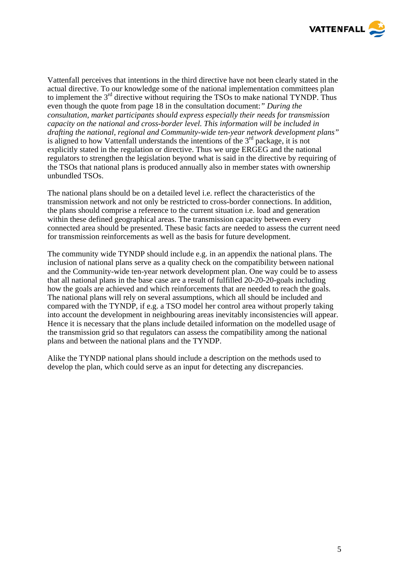

Vattenfall perceives that intentions in the third directive have not been clearly stated in the actual directive. To our knowledge some of the national implementation committees plan to implement the  $3<sup>rd</sup>$  directive without requiring the TSOs to make national TYNDP. Thus even though the quote from page 18 in the consultation document:*" During the consultation, market participants should express especially their needs for transmission capacity on the national and cross-border level. This information will be included in drafting the national, regional and Community-wide ten-year network development plans"*  is aligned to how Vattenfall understands the intentions of the  $3<sup>rd</sup>$  package, it is not explicitly stated in the regulation or directive. Thus we urge ERGEG and the national regulators to strengthen the legislation beyond what is said in the directive by requiring of the TSOs that national plans is produced annually also in member states with ownership unbundled TSOs.

The national plans should be on a detailed level i.e. reflect the characteristics of the transmission network and not only be restricted to cross-border connections. In addition, the plans should comprise a reference to the current situation i.e. load and generation within these defined geographical areas. The transmission capacity between every connected area should be presented. These basic facts are needed to assess the current need for transmission reinforcements as well as the basis for future development.

The community wide TYNDP should include e.g. in an appendix the national plans. The inclusion of national plans serve as a quality check on the compatibility between national and the Community-wide ten-year network development plan. One way could be to assess that all national plans in the base case are a result of fulfilled 20-20-20-goals including how the goals are achieved and which reinforcements that are needed to reach the goals. The national plans will rely on several assumptions, which all should be included and compared with the TYNDP, if e.g. a TSO model her control area without properly taking into account the development in neighbouring areas inevitably inconsistencies will appear. Hence it is necessary that the plans include detailed information on the modelled usage of the transmission grid so that regulators can assess the compatibility among the national plans and between the national plans and the TYNDP.

Alike the TYNDP national plans should include a description on the methods used to develop the plan, which could serve as an input for detecting any discrepancies.